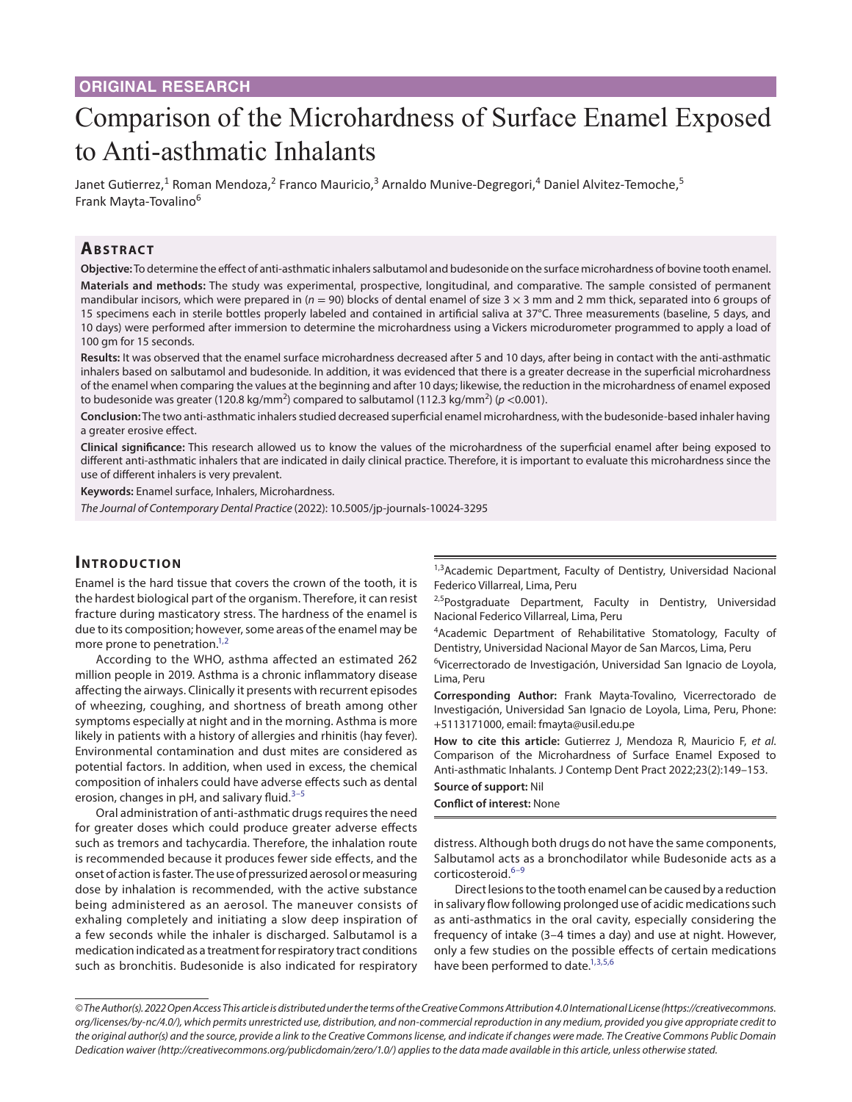# Comparison of the Microhardness of Surface Enamel Exposed to Anti-asthmatic Inhalants

Janet Gutierrez,<sup>1</sup> Roman Mendoza,<sup>2</sup> Franco Mauricio,<sup>3</sup> Arnaldo Munive-Degregori,<sup>4</sup> Daniel Alvitez-Temoche,<sup>5</sup> Frank Mayta-Tovalino<sup>6</sup>

# **ABSTRACT**

**Objective:** To determine the effect of anti-asthmatic inhalers salbutamol and budesonide on the surface microhardness of bovine tooth enamel. **Materials and methods:** The study was experimental, prospective, longitudinal, and comparative. The sample consisted of permanent mandibular incisors, which were prepared in ( $n = 90$ ) blocks of dental enamel of size 3 × 3 mm and 2 mm thick, separated into 6 groups of 15 specimens each in sterile bottles properly labeled and contained in artificial saliva at 37°C. Three measurements (baseline, 5 days, and 10 days) were performed after immersion to determine the microhardness using a Vickers microdurometer programmed to apply a load of 100 gm for 15 seconds.

**Results:** It was observed that the enamel surface microhardness decreased after 5 and 10 days, after being in contact with the anti-asthmatic inhalers based on salbutamol and budesonide. In addition, it was evidenced that there is a greater decrease in the superficial microhardness of the enamel when comparing the values at the beginning and after 10 days; likewise, the reduction in the microhardness of enamel exposed to budesonide was greater (120.8 kg/mm<sup>2</sup>) compared to salbutamol (112.3 kg/mm<sup>2</sup>) (*p* <0.001).

**Conclusion:** The two anti-asthmatic inhalers studied decreased superficial enamel microhardness, with the budesonide-based inhaler having a greater erosive effect.

**Clinical significance:** This research allowed us to know the values of the microhardness of the superficial enamel after being exposed to different anti-asthmatic inhalers that are indicated in daily clinical practice. Therefore, it is important to evaluate this microhardness since the use of different inhalers is very prevalent.

**Keywords:** Enamel surface, Inhalers, Microhardness.

*The Journal of Contemporary Dental Practice* (2022): 10.5005/jp-journals-10024-3295

## **INTRODUCTION**

Enamel is the hard tissue that covers the crown of the tooth, it is the hardest biological part of the organism. Therefore, it can resist fracture during masticatory stress. The hardness of the enamel is due to its composition; however, some areas of the enamel may be more prone to penetration.<sup>1,[2](#page-3-1)</sup>

According to the WHO, asthma affected an estimated 262 million people in 2019. Asthma is a chronic inflammatory disease affecting the airways. Clinically it presents with recurrent episodes of wheezing, coughing, and shortness of breath among other symptoms especially at night and in the morning. Asthma is more likely in patients with a history of allergies and rhinitis (hay fever). Environmental contamination and dust mites are considered as potential factors. In addition, when used in excess, the chemical composition of inhalers could have adverse effects such as dental erosion, changes in pH, and salivary fluid. $3-5$  $3-5$ 

Oral administration of anti-asthmatic drugs requires the need for greater doses which could produce greater adverse effects such as tremors and tachycardia. Therefore, the inhalation route is recommended because it produces fewer side effects, and the onset of action is faster. The use of pressurized aerosol or measuring dose by inhalation is recommended, with the active substance being administered as an aerosol. The maneuver consists of exhaling completely and initiating a slow deep inspiration of a few seconds while the inhaler is discharged. Salbutamol is a medication indicated as a treatment for respiratory tract conditions such as bronchitis. Budesonide is also indicated for respiratory

<sup>1,3</sup>Academic Department, Faculty of Dentistry, Universidad Nacional Federico Villarreal, Lima, Peru

<sup>2,5</sup>Postgraduate Department, Faculty in Dentistry, Universidad Nacional Federico Villarreal, Lima, Peru

<sup>4</sup>Academic Department of Rehabilitative Stomatology, Faculty of Dentistry, Universidad Nacional Mayor de San Marcos, Lima, Peru

<sup>6</sup>Vicerrectorado de Investigación, Universidad San Ignacio de Loyola, Lima, Peru

**Corresponding Author:** Frank Mayta-Tovalino, Vicerrectorado de Investigación, Universidad San Ignacio de Loyola, Lima, Peru, Phone: +5113171000, email: fmayta@usil.edu.pe

**How to cite this article:** Gutierrez J, Mendoza R, Mauricio F, *et al*. Comparison of the Microhardness of Surface Enamel Exposed to Anti-asthmatic Inhalants. J Contemp Dent Pract 2022;23(2):149–153.

**Source of support:** Nil **Conflict of interest:** None

distress. Although both drugs do not have the same components, Salbutamol acts as a bronchodilator while Budesonide acts as a corticosteroid.<sup>6-[9](#page-3-5)</sup>

Direct lesions to the tooth enamel can be caused by a reduction in salivary flow following prolonged use of acidic medications such as anti-asthmatics in the oral cavity, especially considering the frequency of intake (3–4 times a day) and use at night. However, only a few studies on the possible effects of certain medications have been performed to date.<sup>1,[3](#page-3-2),[5,](#page-3-3)[6](#page-3-4)</sup>

*<sup>©</sup> The Author(s). 2022 Open Access This article is distributed under the terms of the Creative Commons Attribution 4.0 International License ([https://creativecommons.](https://creativecommons.org/licenses/by-nc/4.0/) [org/licenses/by-nc/4.0/](https://creativecommons.org/licenses/by-nc/4.0/)), which permits unrestricted use, distribution, and non-commercial reproduction in any medium, provided you give appropriate credit to the original author(s) and the source, provide a link to the Creative Commons license, and indicate if changes were made. The Creative Commons Public Domain Dedication waiver ([http://creativecommons.org/publicdomain/zero/1.0/\)](http://creativecommons.org/publicdomain/zero/1.0/) applies to the data made available in this article, unless otherwise stated.*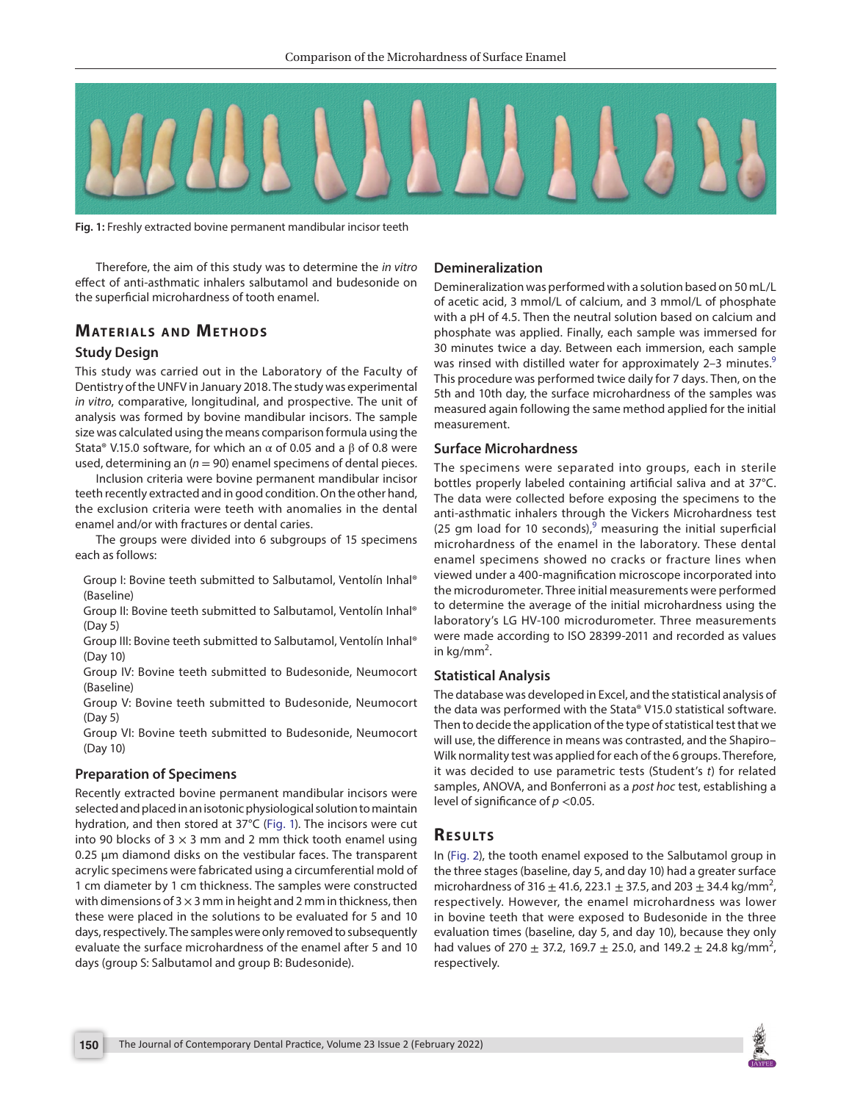

**Fig. 1:** Freshly extracted bovine permanent mandibular incisor teeth

<span id="page-1-0"></span>Therefore, the aim of this study was to determine the *in vitro* effect of anti-asthmatic inhalers salbutamol and budesonide on the superficial microhardness of tooth enamel.

## **MATERIALS AND METHODS**

#### **Study Design**

This study was carried out in the Laboratory of the Faculty of Dentistry of the UNFV in January 2018. The study was experimental *in vitro*, comparative, longitudinal, and prospective. The unit of analysis was formed by bovine mandibular incisors. The sample size was calculated using the means comparison formula using the Stata® V.15.0 software, for which an  $\alpha$  of 0.05 and a  $\beta$  of 0.8 were used, determining an  $(n = 90)$  enamel specimens of dental pieces.

Inclusion criteria were bovine permanent mandibular incisor teeth recently extracted and in good condition. On the other hand, the exclusion criteria were teeth with anomalies in the dental enamel and/or with fractures or dental caries.

The groups were divided into 6 subgroups of 15 specimens each as follows:

Group I: Bovine teeth submitted to Salbutamol, Ventolín Inhal® (Baseline)

Group II: Bovine teeth submitted to Salbutamol, Ventolín Inhal® (Day 5)

Group III: Bovine teeth submitted to Salbutamol, Ventolín Inhal® (Day 10)

Group IV: Bovine teeth submitted to Budesonide, Neumocort (Baseline)

Group V: Bovine teeth submitted to Budesonide, Neumocort (Day 5)

Group VI: Bovine teeth submitted to Budesonide, Neumocort (Day 10)

#### **Preparation of Specimens**

Recently extracted bovine permanent mandibular incisors were selected and placed in an isotonic physiological solution to maintain hydration, and then stored at 37°C ([Fig. 1\)](#page-1-0). The incisors were cut into 90 blocks of  $3 \times 3$  mm and 2 mm thick tooth enamel using 0.25 µm diamond disks on the vestibular faces. The transparent acrylic specimens were fabricated using a circumferential mold of 1 cm diameter by 1 cm thickness. The samples were constructed with dimensions of 3  $\times$  3 mm in height and 2 mm in thickness, then these were placed in the solutions to be evaluated for 5 and 10 days, respectively. The samples were only removed to subsequently evaluate the surface microhardness of the enamel after 5 and 10 days (group S: Salbutamol and group B: Budesonide).

### **Demineralization**

Demineralization was performed with a solution based on 50 mL/L of acetic acid, 3 mmol/L of calcium, and 3 mmol/L of phosphate with a pH of 4.5. Then the neutral solution based on calcium and phosphate was applied. Finally, each sample was immersed for 30 minutes twice a day. Between each immersion, each sample was rinsed with distilled water for approximately 2–3 minutes.<sup>[9](#page-3-5)</sup> This procedure was performed twice daily for 7 days. Then, on the 5th and 10th day, the surface microhardness of the samples was measured again following the same method applied for the initial measurement.

#### **Surface Microhardness**

The specimens were separated into groups, each in sterile bottles properly labeled containing artificial saliva and at 37°C. The data were collected before exposing the specimens to the anti-asthmatic inhalers through the Vickers Microhardness test (25 gm load for 10 seconds), $9$  measuring the initial superficial microhardness of the enamel in the laboratory. These dental enamel specimens showed no cracks or fracture lines when viewed under a 400-magnification microscope incorporated into the microdurometer. Three initial measurements were performed to determine the average of the initial microhardness using the laboratory's LG HV-100 microdurometer. Three measurements were made according to ISO 28399-2011 and recorded as values in kg/mm<sup>2</sup>.

#### **Statistical Analysis**

The database was developed in Excel, and the statistical analysis of the data was performed with the Stata® V15.0 statistical software. Then to decide the application of the type of statistical test that we will use, the difference in means was contrasted, and the Shapiro– Wilk normality test was applied for each of the 6 groups. Therefore, it was decided to use parametric tests (Student's *t*) for related samples, ANOVA, and Bonferroni as a *post hoc* test, establishing a level of significance of *p* <0.05.

## **Re s u lts**

In [\(Fig. 2](#page-2-0)), the tooth enamel exposed to the Salbutamol group in the three stages (baseline, day 5, and day 10) had a greater surface microhardness of 316  $\pm$  41.6, 223.1  $\pm$  37.5, and 203  $\pm$  34.4 kg/mm<sup>2</sup>, respectively. However, the enamel microhardness was lower in bovine teeth that were exposed to Budesonide in the three evaluation times (baseline, day 5, and day 10), because they only had values of 270  $\pm$  37.2, 169.7  $\pm$  25.0, and 149.2  $\pm$  24.8 kg/mm<sup>2</sup>, respectively.

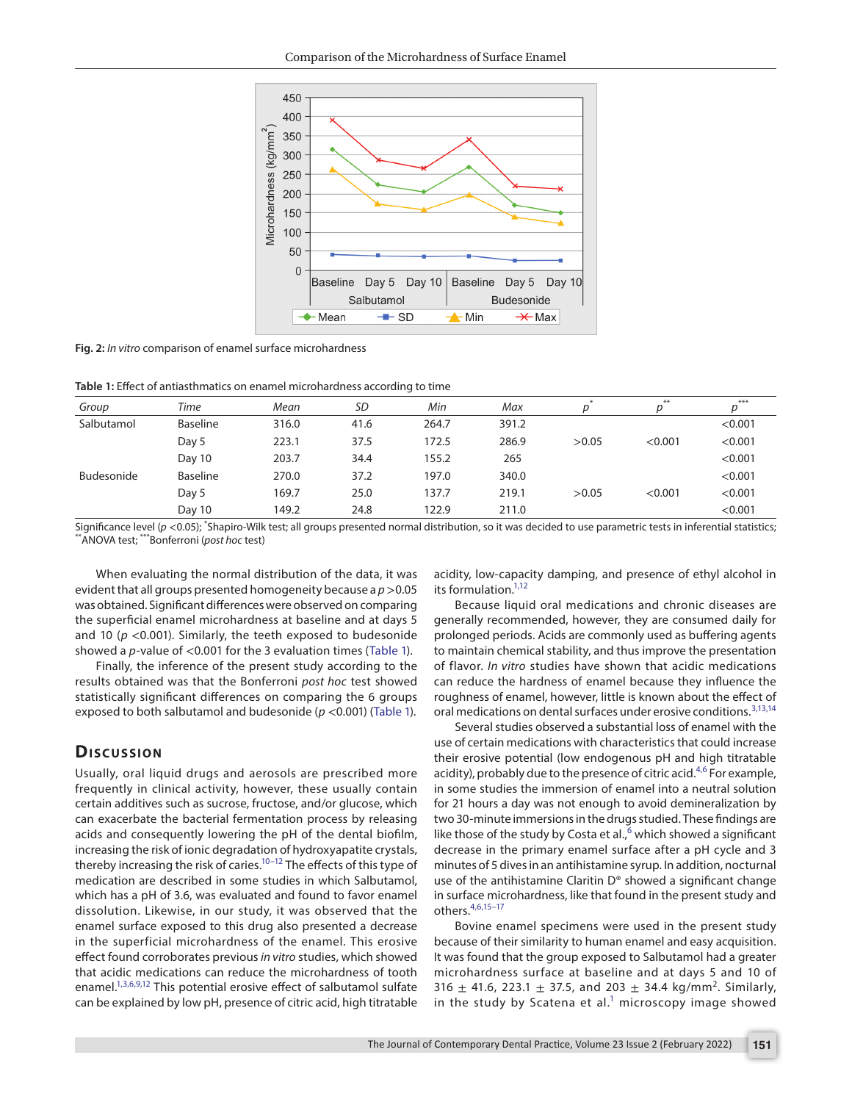

<span id="page-2-0"></span>**Fig. 2:** *In vitro* comparison of enamel surface microhardness

<span id="page-2-1"></span>**Table 1:** Effect of antiasthmatics on enamel microhardness according to time

| Group      | Time     | Mean  | <b>SD</b> | Min   | Max   |       | **      | ***     |
|------------|----------|-------|-----------|-------|-------|-------|---------|---------|
| Salbutamol | Baseline | 316.0 | 41.6      | 264.7 | 391.2 |       |         | < 0.001 |
|            | Day 5    | 223.1 | 37.5      | 172.5 | 286.9 | >0.05 | < 0.001 | < 0.001 |
|            | Day 10   | 203.7 | 34.4      | 155.2 | 265   |       |         | < 0.001 |
| Budesonide | Baseline | 270.0 | 37.2      | 197.0 | 340.0 |       |         | < 0.001 |
|            | Day 5    | 169.7 | 25.0      | 137.7 | 219.1 | >0.05 | < 0.001 | < 0.001 |
|            | Day 10   | 149.2 | 24.8      | 122.9 | 211.0 |       |         | < 0.001 |

Significance level (*p <*0.05); <sup>\*</sup>Shapiro-Wilk test; all groups presented normal distribution, so it was decided to use parametric tests in inferential statistics;<br>\*\*ANOVA test; \*\*\*Bonferroni (*post hoc* test)

When evaluating the normal distribution of the data, it was evident that all groups presented homogeneity because a *p*>0.05 was obtained. Significant differences were observed on comparing the superficial enamel microhardness at baseline and at days 5 and 10 (*p* <0.001). Similarly, the teeth exposed to budesonide showed a *p*-value of <0.001 for the 3 evaluation times ([Table 1](#page-2-1)).

Finally, the inference of the present study according to the results obtained was that the Bonferroni *post hoc* test showed statistically significant differences on comparing the 6 groups exposed to both salbutamol and budesonide (*p* <0.001) ([Table 1\)](#page-2-1).

## **Dis c u s sio n**

Usually, oral liquid drugs and aerosols are prescribed more frequently in clinical activity, however, these usually contain certain additives such as sucrose, fructose, and/or glucose, which can exacerbate the bacterial fermentation process by releasing acids and consequently lowering the pH of the dental biofilm, increasing the risk of ionic degradation of hydroxyapatite crystals, thereby increasing the risk of caries.<sup>10-12</sup> The effects of this type of medication are described in some studies in which Salbutamol, which has a pH of 3.6, was evaluated and found to favor enamel dissolution. Likewise, in our study, it was observed that the enamel surface exposed to this drug also presented a decrease in the superficial microhardness of the enamel. This erosive effect found corroborates previous *in vitro* studies, which showed that acidic medications can reduce the microhardness of tooth enamel.<sup>1,[3,](#page-3-2)[6](#page-3-4),[9](#page-3-5)[,12](#page-3-7)</sup> This potential erosive effect of salbutamol sulfate can be explained by low pH, presence of citric acid, high titratable

acidity, low-capacity damping, and presence of ethyl alcohol in its formulation.<sup>1[,12](#page-3-7)</sup>

Because liquid oral medications and chronic diseases are generally recommended, however, they are consumed daily for prolonged periods. Acids are commonly used as buffering agents to maintain chemical stability, and thus improve the presentation of flavor. *In vitro* studies have shown that acidic medications can reduce the hardness of enamel because they influence the roughness of enamel, however, little is known about the effect of oral medications on dental surfaces under erosive conditions.<sup>[3,](#page-3-2)[13,](#page-3-8)[14](#page-3-9)</sup>

Several studies observed a substantial loss of enamel with the use of certain medications with characteristics that could increase their erosive potential (low endogenous pH and high titratable acidity), probably due to the presence of citric acid.<sup>[4,](#page-3-10)[6](#page-3-4)</sup> For example, in some studies the immersion of enamel into a neutral solution for 21 hours a day was not enough to avoid demineralization by two 30-minute immersions in the drugs studied. These findings are like those of the study by Costa et al.,<sup>[6](#page-3-4)</sup> which showed a significant decrease in the primary enamel surface after a pH cycle and 3 minutes of 5 dives in an antihistamine syrup. In addition, nocturnal use of the antihistamine Claritin D® showed a significant change in surface microhardness, like that found in the present study and others.[4](#page-3-10),[6](#page-3-4)[,15–](#page-3-11)[17](#page-3-12)

Bovine enamel specimens were used in the present study because of their similarity to human enamel and easy acquisition. It was found that the group exposed to Salbutamol had a greater microhardness surface at baseline and at days 5 and 10 of 316  $\pm$  41.6, 223.1  $\pm$  37.5, and 203  $\pm$  34.4 kg/mm<sup>2</sup>. Similarly, in the study by Scatena et al.<sup>1</sup> microscopy image showed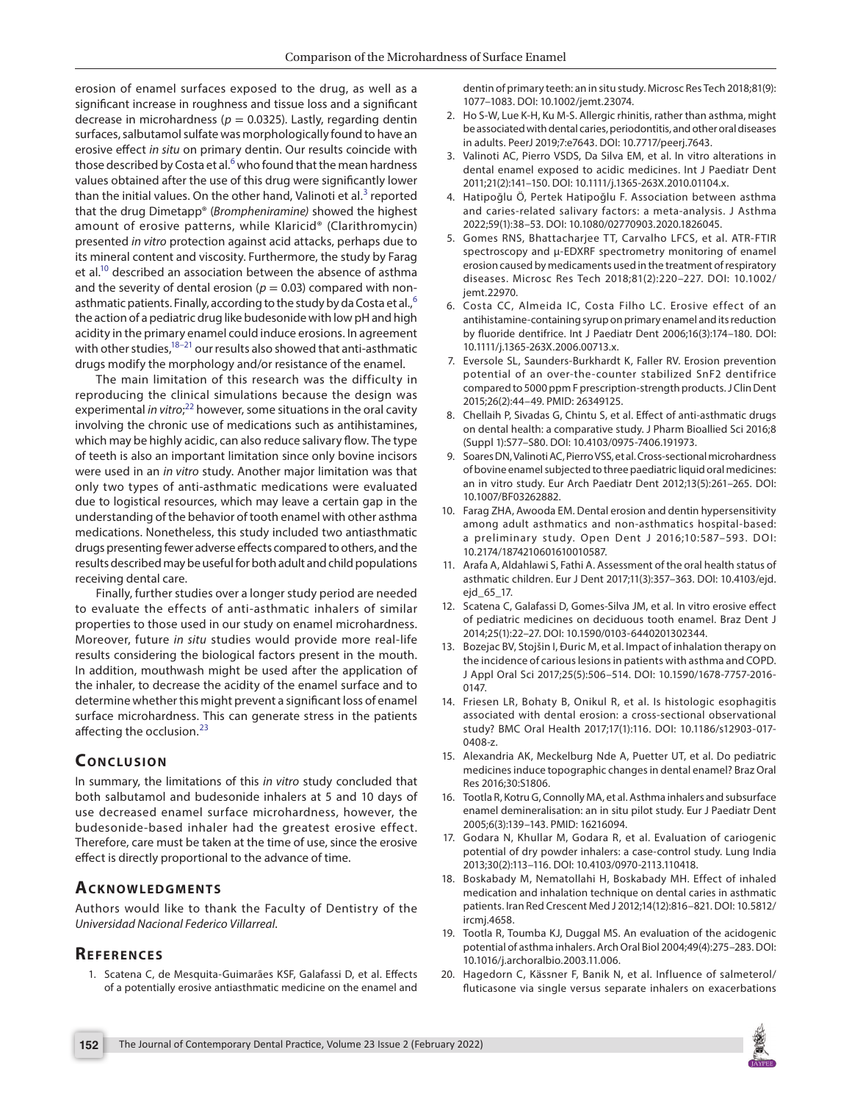erosion of enamel surfaces exposed to the drug, as well as a significant increase in roughness and tissue loss and a significant decrease in microhardness ( $p = 0.0325$ ). Lastly, regarding dentin surfaces, salbutamol sulfate was morphologically found to have an erosive effect *in situ* on primary dentin. Our results coincide with those described by Costa et al.<sup>[6](#page-3-4)</sup> who found that the mean hardness values obtained after the use of this drug were significantly lower than the initial values. On the other hand, Valinoti et al. $3$  reported that the drug Dimetapp® (*Brompheniramine)* showed the highest amount of erosive patterns, while Klaricid® (Clarithromycin) presented *in vitro* protection against acid attacks, perhaps due to its mineral content and viscosity. Furthermore, the study by Farag et al.<sup>10</sup> described an association between the absence of asthma and the severity of dental erosion ( $p = 0.03$ ) compared with nonasthmatic patients. Finally, according to the study by da Costa et al., $^6$  $^6$ the action of a pediatric drug like budesonide with low pH and high acidity in the primary enamel could induce erosions. In agreement with other studies, $18-21$  our results also showed that anti-asthmatic drugs modify the morphology and/or resistance of the enamel.

The main limitation of this research was the difficulty in reproducing the clinical simulations because the design was experimental *in vitro*; [22](#page-4-1) however, some situations in the oral cavity involving the chronic use of medications such as antihistamines, which may be highly acidic, can also reduce salivary flow. The type of teeth is also an important limitation since only bovine incisors were used in an *in vitro* study. Another major limitation was that only two types of anti-asthmatic medications were evaluated due to logistical resources, which may leave a certain gap in the understanding of the behavior of tooth enamel with other asthma medications. Nonetheless, this study included two antiasthmatic drugs presenting fewer adverse effects compared to others, and the results described may be useful for both adult and child populations receiving dental care.

Finally, further studies over a longer study period are needed to evaluate the effects of anti-asthmatic inhalers of similar properties to those used in our study on enamel microhardness. Moreover, future *in situ* studies would provide more real-life results considering the biological factors present in the mouth. In addition, mouthwash might be used after the application of the inhaler, to decrease the acidity of the enamel surface and to determine whether this might prevent a significant loss of enamel surface microhardness. This can generate stress in the patients affecting the occlusion.<sup>[23](#page-4-2)</sup>

# **CONCLUSION**

In summary, the limitations of this *in vitro* study concluded that both salbutamol and budesonide inhalers at 5 and 10 days of use decreased enamel surface microhardness, however, the budesonide-based inhaler had the greatest erosive effect. Therefore, care must be taken at the time of use, since the erosive effect is directly proportional to the advance of time.

## **ACKNOWLEDGMENTS**

Authors would like to thank the Faculty of Dentistry of the *Universidad Nacional Federico Villarreal*.

## **REFERENCES**

<span id="page-3-0"></span>1. Scatena C, de Mesquita-Guimarães KSF, Galafassi D, et al. Effects of a potentially erosive antiasthmatic medicine on the enamel and dentin of primary teeth: an in situ study. Microsc Res Tech 2018;81(9): 1077–1083. DOI: 10.1002/jemt.23074.

- <span id="page-3-1"></span>2. Ho S-W, Lue K-H, Ku M-S. Allergic rhinitis, rather than asthma, might be associated with dental caries, periodontitis, and other oral diseases in adults. PeerJ 2019;7:e7643. DOI: 10.7717/peerj.7643.
- <span id="page-3-2"></span>3. Valinoti AC, Pierro VSDS, Da Silva EM, et al. In vitro alterations in dental enamel exposed to acidic medicines. Int J Paediatr Dent 2011;21(2):141–150. DOI: 10.1111/j.1365-263X.2010.01104.x.
- <span id="page-3-10"></span>4. Hatipoğlu Ö, Pertek Hatipoğlu F. Association between asthma and caries-related salivary factors: a meta-analysis. J Asthma 2022;59(1):38–53. DOI: 10.1080/02770903.2020.1826045.
- <span id="page-3-3"></span>5. Gomes RNS, Bhattacharjee TT, Carvalho LFCS, et al. ATR-FTIR spectroscopy and μ-EDXRF spectrometry monitoring of enamel erosion caused by medicaments used in the treatment of respiratory diseases. Microsc Res Tech 2018;81(2):220–227. DOI: 10.1002/ jemt.22970.
- <span id="page-3-4"></span>6. Costa CC, Almeida IC, Costa Filho LC. Erosive effect of an antihistamine-containing syrup on primary enamel and its reduction by fluoride dentifrice. Int J Paediatr Dent 2006;16(3):174–180. DOI: 10.1111/j.1365-263X.2006.00713.x.
- 7. Eversole SL, Saunders-Burkhardt K, Faller RV. Erosion prevention potential of an over-the-counter stabilized SnF2 dentifrice compared to 5000 ppm F prescription-strength products. J Clin Dent 2015;26(2):44–49. PMID: 26349125.
- 8. Chellaih P, Sivadas G, Chintu S, et al. Effect of anti-asthmatic drugs on dental health: a comparative study. J Pharm Bioallied Sci 2016;8 (Suppl 1):S77–S80. DOI: 10.4103/0975-7406.191973.
- <span id="page-3-5"></span>9. Soares DN, Valinoti AC, Pierro VSS, et al. Cross-sectional microhardness of bovine enamel subjected to three paediatric liquid oral medicines: an in vitro study. Eur Arch Paediatr Dent 2012;13(5):261–265. DOI: 10.1007/BF03262882.
- <span id="page-3-6"></span>10. Farag ZHA, Awooda EM. Dental erosion and dentin hypersensitivity among adult asthmatics and non-asthmatics hospital-based: a preliminary study. Open Dent J 2016;10:587-593. DOI: 10.2174/1874210601610010587.
- 11. Arafa A, Aldahlawi S, Fathi A. Assessment of the oral health status of asthmatic children. Eur J Dent 2017;11(3):357–363. DOI: 10.4103/ejd. ejd\_65\_17.
- <span id="page-3-7"></span>12. Scatena C, Galafassi D, Gomes-Silva JM, et al. In vitro erosive effect of pediatric medicines on deciduous tooth enamel. Braz Dent J 2014;25(1):22–27. DOI: 10.1590/0103-6440201302344.
- <span id="page-3-8"></span>13. Bozejac BV, Stojšin I, Ðuric M, et al. Impact of inhalation therapy on the incidence of carious lesions in patients with asthma and COPD. J Appl Oral Sci 2017;25(5):506–514. DOI: 10.1590/1678-7757-2016- 0147.
- <span id="page-3-9"></span>14. Friesen LR, Bohaty B, Onikul R, et al. Is histologic esophagitis associated with dental erosion: a cross-sectional observational study? BMC Oral Health 2017;17(1):116. DOI: 10.1186/s12903-017- 0408-z.
- <span id="page-3-11"></span>15. Alexandria AK, Meckelburg Nde A, Puetter UT, et al. Do pediatric medicines induce topographic changes in dental enamel? Braz Oral Res 2016;30:S1806.
- 16. Tootla R, Kotru G, Connolly MA, et al. Asthma inhalers and subsurface enamel demineralisation: an in situ pilot study. Eur J Paediatr Dent 2005;6(3):139–143. PMID: 16216094.
- <span id="page-3-12"></span>17. Godara N, Khullar M, Godara R, et al. Evaluation of cariogenic potential of dry powder inhalers: a case-control study. Lung India 2013;30(2):113–116. DOI: 10.4103/0970-2113.110418.
- <span id="page-3-13"></span>18. Boskabady M, Nematollahi H, Boskabady MH. Effect of inhaled medication and inhalation technique on dental caries in asthmatic patients. Iran Red Crescent Med J 2012;14(12):816–821. DOI: 10.5812/ ircmj.4658.
- 19. Tootla R, Toumba KJ, Duggal MS. An evaluation of the acidogenic potential of asthma inhalers. Arch Oral Biol 2004;49(4):275–283. DOI: 10.1016/j.archoralbio.2003.11.006.
- 20. Hagedorn C, Kässner F, Banik N, et al. Influence of salmeterol/ fluticasone via single versus separate inhalers on exacerbations